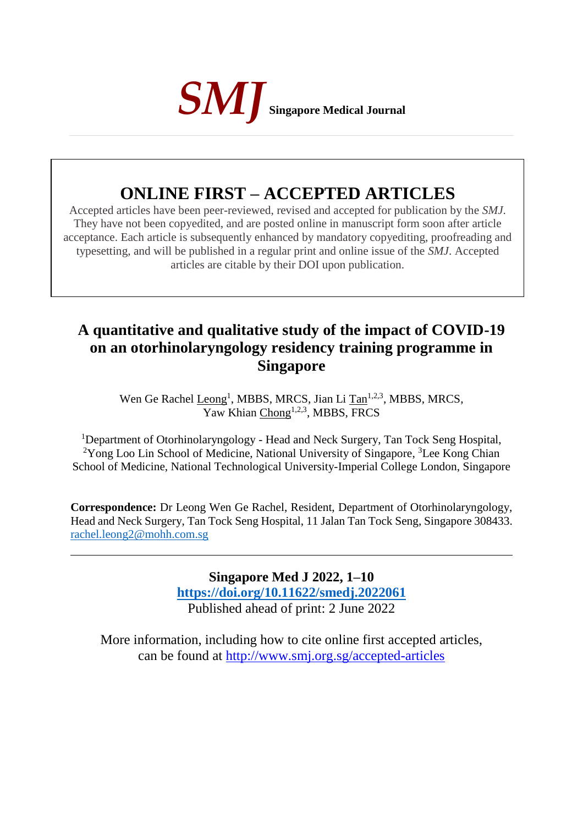

# **ONLINE FIRST – ACCEPTED ARTICLES**

Accepted articles have been peer-reviewed, revised and accepted for publication by the *SMJ*. They have not been copyedited, and are posted online in manuscript form soon after article acceptance. Each article is subsequently enhanced by mandatory copyediting, proofreading and typesetting, and will be published in a regular print and online issue of the *SMJ*. Accepted articles are citable by their DOI upon publication.

## **A quantitative and qualitative study of the impact of COVID-19 on an otorhinolaryngology residency training programme in Singapore**

Wen Ge Rachel Leong<sup>1</sup>, MBBS, MRCS, Jian Li Tan<sup>1,2,3</sup>, MBBS, MRCS,  $\overline{Yaw}$  Khian Chong<sup>1,2,3</sup>, MBBS, FRCS

<sup>1</sup>Department of Otorhinolaryngology - Head and Neck Surgery, Tan Tock Seng Hospital, <sup>2</sup>Yong Loo Lin School of Medicine, National University of Singapore, <sup>3</sup>Lee Kong Chian School of Medicine, National Technological University-Imperial College London, Singapore

**Correspondence:** Dr Leong Wen Ge Rachel, Resident, Department of Otorhinolaryngology, Head and Neck Surgery, Tan Tock Seng Hospital, 11 Jalan Tan Tock Seng, Singapore 308433. [rachel.leong2@mohh.com.sg](mailto:rachel.leong2@mohh.com.sg)

> **Singapore Med J 2022, 1–10 [https://doi.org/1](https://doi.org/10.11622/smedj.2018150)0.11622/smedj.2022061** Published ahead of print: 2 June 2022

More information, including how to cite online first accepted articles, can be found at http://www.smj.org.sg/accepted-articles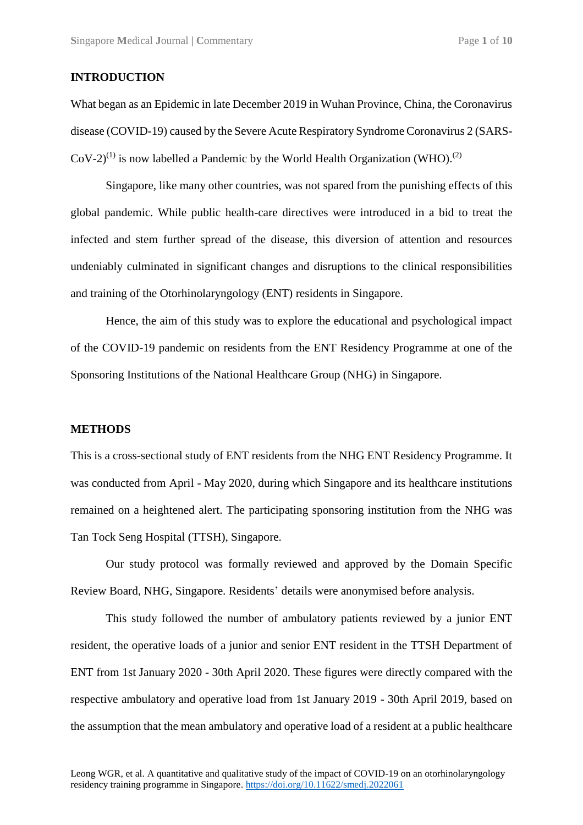#### **INTRODUCTION**

What began as an Epidemic in late December 2019 in Wuhan Province, China, the Coronavirus disease (COVID-19) caused by the Severe Acute Respiratory Syndrome Coronavirus 2 (SARS- $CoV-2$ <sup>(1)</sup> is now labelled a Pandemic by the World Health Organization (WHO).<sup>(2)</sup>

Singapore, like many other countries, was not spared from the punishing effects of this global pandemic. While public health-care directives were introduced in a bid to treat the infected and stem further spread of the disease, this diversion of attention and resources undeniably culminated in significant changes and disruptions to the clinical responsibilities and training of the Otorhinolaryngology (ENT) residents in Singapore.

Hence, the aim of this study was to explore the educational and psychological impact of the COVID-19 pandemic on residents from the ENT Residency Programme at one of the Sponsoring Institutions of the National Healthcare Group (NHG) in Singapore.

#### **METHODS**

This is a cross-sectional study of ENT residents from the NHG ENT Residency Programme. It was conducted from April - May 2020, during which Singapore and its healthcare institutions remained on a heightened alert. The participating sponsoring institution from the NHG was Tan Tock Seng Hospital (TTSH), Singapore.

Our study protocol was formally reviewed and approved by the Domain Specific Review Board, NHG, Singapore. Residents' details were anonymised before analysis.

This study followed the number of ambulatory patients reviewed by a junior ENT resident, the operative loads of a junior and senior ENT resident in the TTSH Department of ENT from 1st January 2020 - 30th April 2020. These figures were directly compared with the respective ambulatory and operative load from 1st January 2019 - 30th April 2019, based on the assumption that the mean ambulatory and operative load of a resident at a public healthcare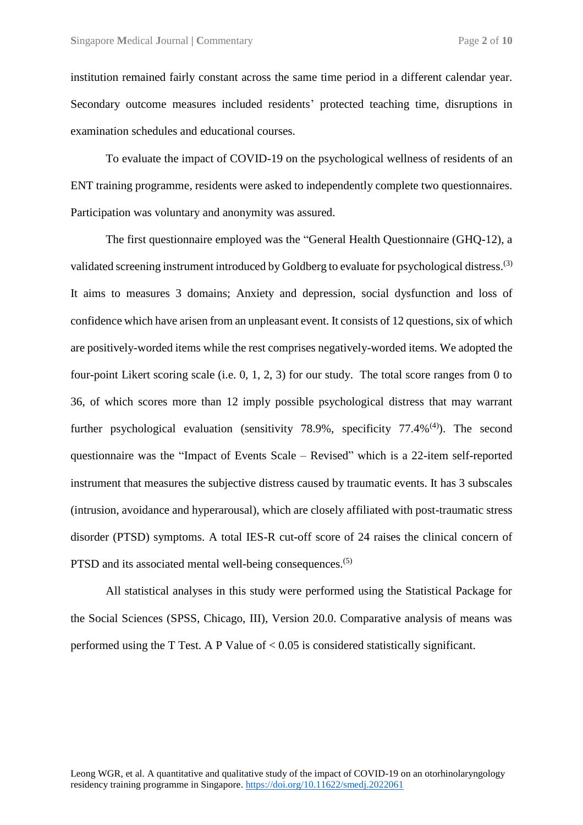institution remained fairly constant across the same time period in a different calendar year. Secondary outcome measures included residents' protected teaching time, disruptions in examination schedules and educational courses.

To evaluate the impact of COVID-19 on the psychological wellness of residents of an ENT training programme, residents were asked to independently complete two questionnaires. Participation was voluntary and anonymity was assured.

The first questionnaire employed was the "General Health Questionnaire (GHQ-12), a validated screening instrument introduced by Goldberg to evaluate for psychological distress.<sup>(3)</sup> It aims to measures 3 domains; Anxiety and depression, social dysfunction and loss of confidence which have arisen from an unpleasant event. It consists of 12 questions, six of which are positively-worded items while the rest comprises negatively-worded items. We adopted the four-point Likert scoring scale (i.e. 0, 1, 2, 3) for our study. The total score ranges from 0 to 36, of which scores more than 12 imply possible psychological distress that may warrant further psychological evaluation (sensitivity 78.9%, specificity 77.4%<sup>(4)</sup>). The second questionnaire was the "Impact of Events Scale – Revised" which is a 22-item self-reported instrument that measures the subjective distress caused by traumatic events. It has 3 subscales (intrusion, avoidance and hyperarousal), which are closely affiliated with post-traumatic stress disorder (PTSD) symptoms. A total IES-R cut-off score of 24 raises the clinical concern of PTSD and its associated mental well-being consequences.<sup>(5)</sup>

All statistical analyses in this study were performed using the Statistical Package for the Social Sciences (SPSS, Chicago, III), Version 20.0. Comparative analysis of means was performed using the T Test. A P Value of < 0.05 is considered statistically significant.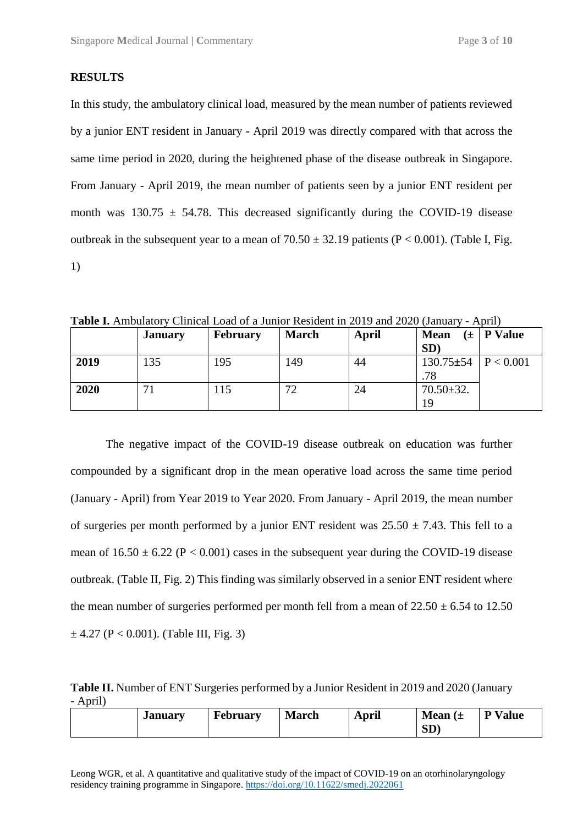#### **RESULTS**

In this study, the ambulatory clinical load, measured by the mean number of patients reviewed by a junior ENT resident in January - April 2019 was directly compared with that across the same time period in 2020, during the heightened phase of the disease outbreak in Singapore. From January - April 2019, the mean number of patients seen by a junior ENT resident per month was  $130.75 \pm 54.78$ . This decreased significantly during the COVID-19 disease outbreak in the subsequent year to a mean of  $70.50 \pm 32.19$  patients (P < 0.001). (Table I, Fig. 1)

|      | <b>January</b> | <b>February</b> | <b>March</b> | April | <b>Mean</b><br><b>SD</b>           | $(\pm$   P Value |
|------|----------------|-----------------|--------------|-------|------------------------------------|------------------|
| 2019 | 135            | 195             | 149          | 44    | $130.75 \pm 54$   P < 0.001<br>.78 |                  |
| 2020 |                | <sup>15</sup>   | 72           | 24    | $70.50 \pm 32.$<br>19              |                  |

**Table I.** Ambulatory Clinical Load of a Junior Resident in 2019 and 2020 (January - April)

The negative impact of the COVID-19 disease outbreak on education was further compounded by a significant drop in the mean operative load across the same time period (January - April) from Year 2019 to Year 2020. From January - April 2019, the mean number of surgeries per month performed by a junior ENT resident was  $25.50 \pm 7.43$ . This fell to a mean of  $16.50 \pm 6.22$  (P < 0.001) cases in the subsequent year during the COVID-19 disease outbreak. (Table II, Fig. 2) This finding was similarly observed in a senior ENT resident where the mean number of surgeries performed per month fell from a mean of  $22.50 \pm 6.54$  to 12.50  $\pm$  4.27 (P < 0.001). (Table III, Fig. 3)

**Table II.** Number of ENT Surgeries performed by a Junior Resident in 2019 and 2020 (January - April)

| January | February | <b>March</b> | April | Mean $(\pm$<br>SD) | <b>P</b> Value |
|---------|----------|--------------|-------|--------------------|----------------|
|         |          |              |       |                    |                |

Leong WGR, et al. A quantitative and qualitative study of the impact of COVID-19 on an otorhinolaryngology residency training programme in Singapore. https://doi.org/10.11622/smedj.2022061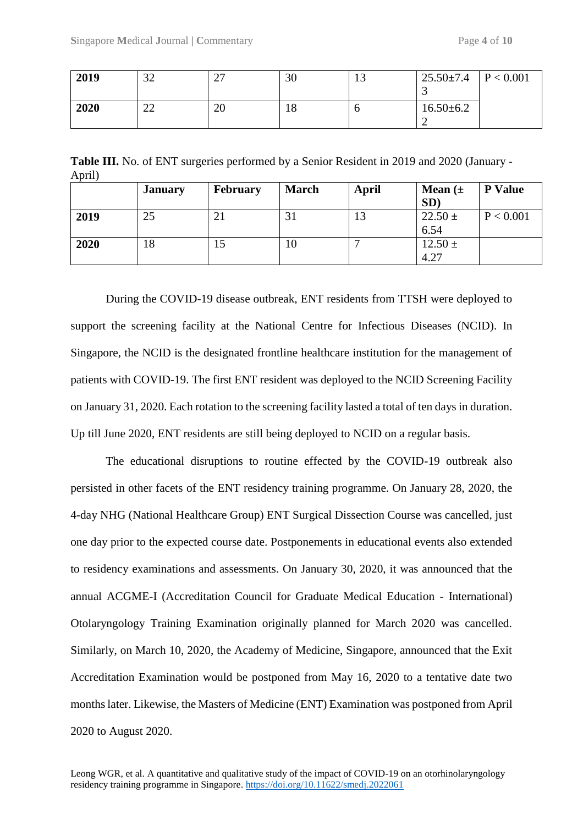| 2019 | $\cap$<br>ے د | $\sim$<br>∼ | 30            | IJ | $25.50 \pm 7.4$<br>ت | P < 0.001 |
|------|---------------|-------------|---------------|----|----------------------|-----------|
| 2020 | ററ<br>∠∠      | 20          | $\circ$<br>10 |    | $16.50 \pm 6.2$      |           |

**Table III.** No. of ENT surgeries performed by a Senior Resident in 2019 and 2020 (January - April)

|      | <b>January</b> | <b>February</b> | <b>March</b> | April | <b>Mean</b> $(\pm$<br>SD) | <b>P</b> Value |
|------|----------------|-----------------|--------------|-------|---------------------------|----------------|
| 2019 | 25             | 21              | 31           | 13    | $22.50 \pm$<br>6.54       | P < 0.001      |
| 2020 | 18             | IJ              | 10           |       | $12.50 \pm$<br>4.27       |                |

During the COVID-19 disease outbreak, ENT residents from TTSH were deployed to support the screening facility at the National Centre for Infectious Diseases (NCID). In Singapore, the NCID is the designated frontline healthcare institution for the management of patients with COVID-19. The first ENT resident was deployed to the NCID Screening Facility on January 31, 2020. Each rotation to the screening facility lasted a total of ten days in duration. Up till June 2020, ENT residents are still being deployed to NCID on a regular basis.

The educational disruptions to routine effected by the COVID-19 outbreak also persisted in other facets of the ENT residency training programme. On January 28, 2020, the 4-day NHG (National Healthcare Group) ENT Surgical Dissection Course was cancelled, just one day prior to the expected course date. Postponements in educational events also extended to residency examinations and assessments. On January 30, 2020, it was announced that the annual ACGME-I (Accreditation Council for Graduate Medical Education - International) Otolaryngology Training Examination originally planned for March 2020 was cancelled. Similarly, on March 10, 2020, the Academy of Medicine, Singapore, announced that the Exit Accreditation Examination would be postponed from May 16, 2020 to a tentative date two months later. Likewise, the Masters of Medicine (ENT) Examination was postponed from April 2020 to August 2020.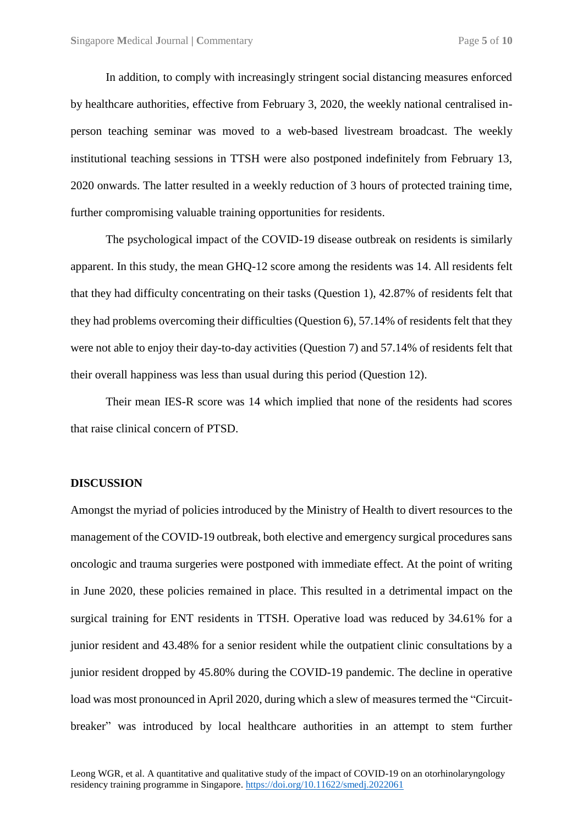In addition, to comply with increasingly stringent social distancing measures enforced by healthcare authorities, effective from February 3, 2020, the weekly national centralised inperson teaching seminar was moved to a web-based livestream broadcast. The weekly institutional teaching sessions in TTSH were also postponed indefinitely from February 13, 2020 onwards. The latter resulted in a weekly reduction of 3 hours of protected training time, further compromising valuable training opportunities for residents.

The psychological impact of the COVID-19 disease outbreak on residents is similarly apparent. In this study, the mean GHQ-12 score among the residents was 14. All residents felt that they had difficulty concentrating on their tasks (Question 1), 42.87% of residents felt that they had problems overcoming their difficulties (Question 6), 57.14% of residents felt that they were not able to enjoy their day-to-day activities (Question 7) and 57.14% of residents felt that their overall happiness was less than usual during this period (Question 12).

Their mean IES-R score was 14 which implied that none of the residents had scores that raise clinical concern of PTSD.

#### **DISCUSSION**

Amongst the myriad of policies introduced by the Ministry of Health to divert resources to the management of the COVID-19 outbreak, both elective and emergency surgical procedures sans oncologic and trauma surgeries were postponed with immediate effect. At the point of writing in June 2020, these policies remained in place. This resulted in a detrimental impact on the surgical training for ENT residents in TTSH. Operative load was reduced by 34.61% for a junior resident and 43.48% for a senior resident while the outpatient clinic consultations by a junior resident dropped by 45.80% during the COVID-19 pandemic. The decline in operative load was most pronounced in April 2020, during which a slew of measures termed the "Circuitbreaker" was introduced by local healthcare authorities in an attempt to stem further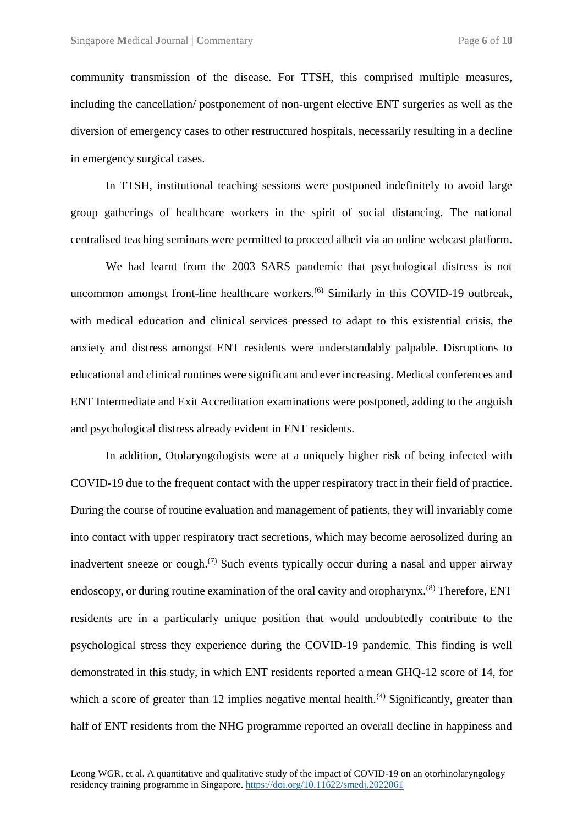community transmission of the disease. For TTSH, this comprised multiple measures, including the cancellation/ postponement of non-urgent elective ENT surgeries as well as the diversion of emergency cases to other restructured hospitals, necessarily resulting in a decline in emergency surgical cases.

In TTSH, institutional teaching sessions were postponed indefinitely to avoid large group gatherings of healthcare workers in the spirit of social distancing. The national centralised teaching seminars were permitted to proceed albeit via an online webcast platform.

We had learnt from the 2003 SARS pandemic that psychological distress is not uncommon amongst front-line healthcare workers.<sup>(6)</sup> Similarly in this COVID-19 outbreak, with medical education and clinical services pressed to adapt to this existential crisis, the anxiety and distress amongst ENT residents were understandably palpable. Disruptions to educational and clinical routines were significant and ever increasing. Medical conferences and ENT Intermediate and Exit Accreditation examinations were postponed, adding to the anguish and psychological distress already evident in ENT residents.

In addition, Otolaryngologists were at a uniquely higher risk of being infected with COVID-19 due to the frequent contact with the upper respiratory tract in their field of practice. During the course of routine evaluation and management of patients, they will invariably come into contact with upper respiratory tract secretions, which may become aerosolized during an inadvertent sneeze or cough.<sup> $(7)$ </sup> Such events typically occur during a nasal and upper airway endoscopy, or during routine examination of the oral cavity and oropharynx.<sup>(8)</sup> Therefore, ENT residents are in a particularly unique position that would undoubtedly contribute to the psychological stress they experience during the COVID-19 pandemic. This finding is well demonstrated in this study, in which ENT residents reported a mean GHQ-12 score of 14, for which a score of greater than 12 implies negative mental health.<sup> $(4)$ </sup> Significantly, greater than half of ENT residents from the NHG programme reported an overall decline in happiness and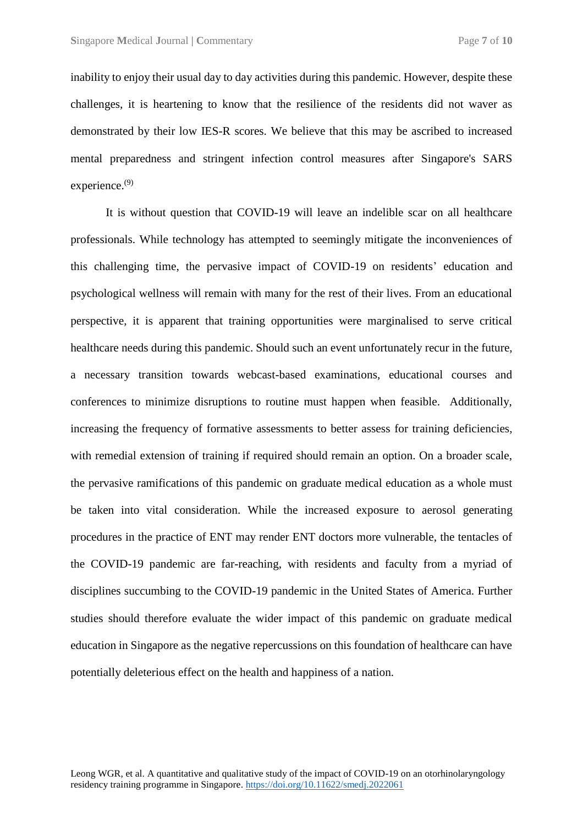inability to enjoy their usual day to day activities during this pandemic. However, despite these challenges, it is heartening to know that the resilience of the residents did not waver as demonstrated by their low IES-R scores. We believe that this may be ascribed to increased mental preparedness and stringent infection control measures after Singapore's SARS experience.<sup>(9)</sup>

It is without question that COVID-19 will leave an indelible scar on all healthcare professionals. While technology has attempted to seemingly mitigate the inconveniences of this challenging time, the pervasive impact of COVID-19 on residents' education and psychological wellness will remain with many for the rest of their lives. From an educational perspective, it is apparent that training opportunities were marginalised to serve critical healthcare needs during this pandemic. Should such an event unfortunately recur in the future, a necessary transition towards webcast-based examinations, educational courses and conferences to minimize disruptions to routine must happen when feasible. Additionally, increasing the frequency of formative assessments to better assess for training deficiencies, with remedial extension of training if required should remain an option. On a broader scale, the pervasive ramifications of this pandemic on graduate medical education as a whole must be taken into vital consideration. While the increased exposure to aerosol generating procedures in the practice of ENT may render ENT doctors more vulnerable, the tentacles of the COVID-19 pandemic are far-reaching, with residents and faculty from a myriad of disciplines succumbing to the COVID-19 pandemic in the United States of America. Further studies should therefore evaluate the wider impact of this pandemic on graduate medical education in Singapore as the negative repercussions on this foundation of healthcare can have potentially deleterious effect on the health and happiness of a nation.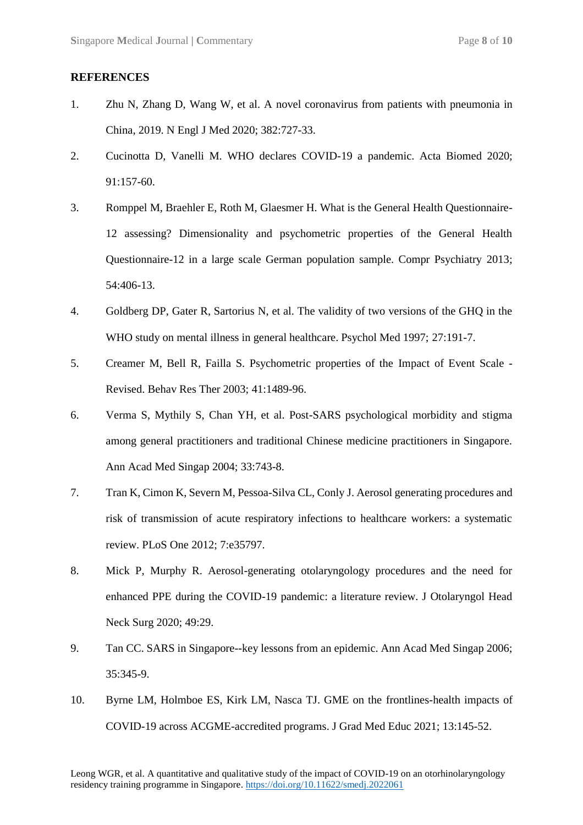#### **REFERENCES**

- 1. Zhu N, Zhang D, Wang W, et al. A novel coronavirus from patients with pneumonia in China, 2019. N Engl J Med 2020; 382:727-33.
- 2. Cucinotta D, Vanelli M. WHO declares COVID-19 a pandemic. Acta Biomed 2020; 91:157-60.
- 3. Romppel M, Braehler E, Roth M, Glaesmer H. What is the General Health Questionnaire-12 assessing? Dimensionality and psychometric properties of the General Health Questionnaire-12 in a large scale German population sample. Compr Psychiatry 2013; 54:406-13.
- 4. Goldberg DP, Gater R, Sartorius N, et al. The validity of two versions of the GHQ in the WHO study on mental illness in general healthcare. Psychol Med 1997; 27:191-7.
- 5. Creamer M, Bell R, Failla S. Psychometric properties of the Impact of Event Scale Revised. Behav Res Ther 2003; 41:1489-96.
- 6. Verma S, Mythily S, Chan YH, et al. Post-SARS psychological morbidity and stigma among general practitioners and traditional Chinese medicine practitioners in Singapore. Ann Acad Med Singap 2004; 33:743-8.
- 7. Tran K, Cimon K, Severn M, Pessoa-Silva CL, Conly J. Aerosol generating procedures and risk of transmission of acute respiratory infections to healthcare workers: a systematic review. PLoS One 2012; 7:e35797.
- 8. Mick P, Murphy R. Aerosol-generating otolaryngology procedures and the need for enhanced PPE during the COVID-19 pandemic: a literature review. J Otolaryngol Head Neck Surg 2020; 49:29.
- 9. Tan CC. SARS in Singapore--key lessons from an epidemic. Ann Acad Med Singap 2006; 35:345-9.
- 10. Byrne LM, Holmboe ES, Kirk LM, Nasca TJ. GME on the frontlines-health impacts of COVID-19 across ACGME-accredited programs. J Grad Med Educ 2021; 13:145-52.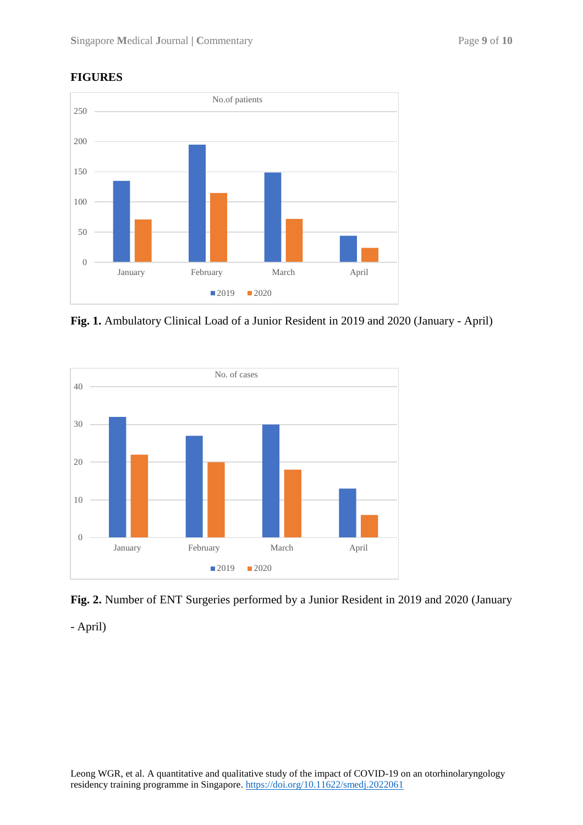### **FIGURES**



**Fig. 1.** Ambulatory Clinical Load of a Junior Resident in 2019 and 2020 (January - April)





- April)